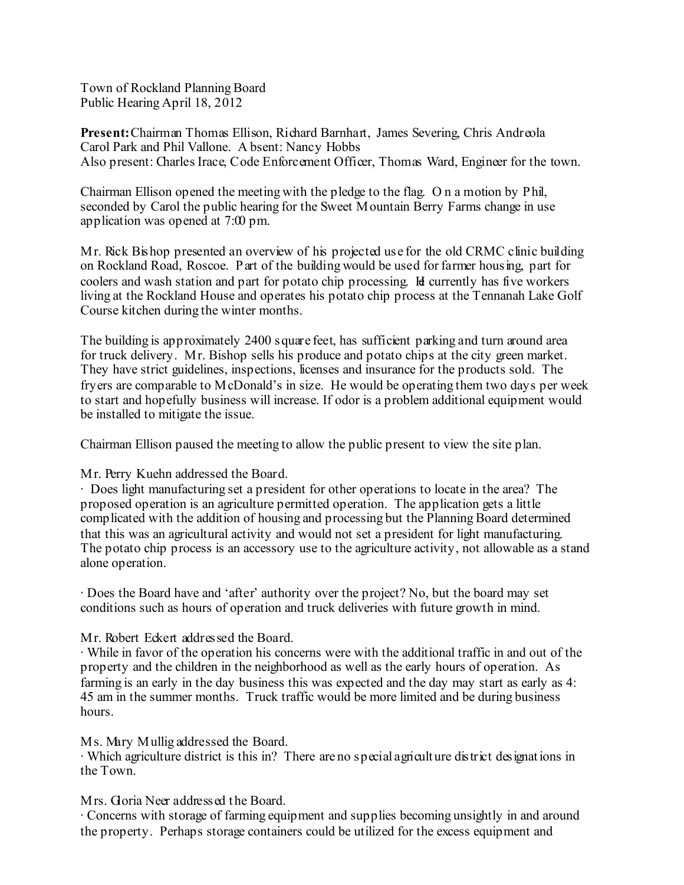Town of Rockland Planning Board Public Hearing April 18, 2012

**Present:**Chairman Thomas Ellison, Richard Barnhart, James Severing, Chris Andreola Carol Park and Phil Vallone. A bsent: Nancy Hobbs Also present: Charles Irace, Code Enforcement Officer, Thomas Ward, Engineer for the town.

Chairman Ellison opened the meeting with the pledge to the flag. O n a motion by Phil, seconded by Carol the public hearing for the Sweet Mountain Berry Farms change in use application was opened at 7:00 pm.

Mr. Rick Bishop presented an overview of his projected us e for the old CRMC clinic building on Rockland Road, Roscoe. Part of the building would be used for farmer housing, part for coolers and wash station and part for potato chip processing. He currently has five workers living at the Rockland House and operates his potato chip process at the Tennanah Lake Golf Course kitchen during the winter months.

The building is approximately 2400 square feet, has sufficient parking and turn around area for truck delivery. Mr. Bishop sells his produce and potato chips at the city green market. They have strict guidelines, inspections, licenses and insurance for the products sold. The fryers are comparable to McDonald's in size. He would be operating them two days per week to start and hopefully business will increase. If odor is a problem additional equipment would be installed to mitigate the issue.

Chairman Ellison paused the meeting to allow the public present to view the site plan.

Mr. Perry Kuehn addressed the Board.

· Does light manufacturing set a president for other operations to locate in the area? The proposed operation is an agriculture permitted operation. The application gets a little complicated with the addition of housing and processing but the Planning Board determined that this was an agricultural activity and would not set a president for light manufacturing. The potato chip process is an accessory use to the agriculture activity, not allowable as a stand alone operation.

· Does the Board have and 'after' authority over the project? No, but the board may set conditions such as hours of operation and truck deliveries with future growth in mind.

Mr. Robert Eckert addressed the Board.

· While in favor of the operation his concerns were with the additional traffic in and out of the property and the children in the neighborhood as well as the early hours of operation. As farming is an early in the day business this was expected and the day may start as early as 4: 45 am in the summer months. Truck traffic would be more limited and be during business hours.

Ms. Mary Mullig addressed the Board.

· Which agriculture district is this in? There are no special agricult ure district designations in the Town.

Mrs. Goria Neer addressed the Board.

· Concerns with storage of farming equipment and supplies becoming unsightly in and around the property. Perhaps storage containers could be utilized for the excess equipment and